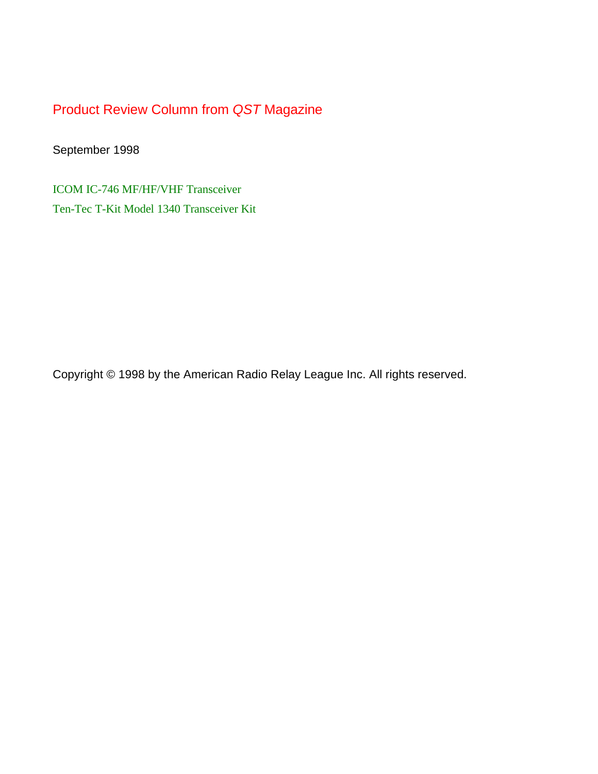Product Review Column from *QST* Magazine

September 1998

[ICOM IC-746 MF/HF/VHF Transceiver](#page-1-0) [Ten-Tec T-Kit Model 1340 Transceiver Kit](#page-6-0)

Copyright © 1998 by the American Radio Relay League Inc. All rights reserved.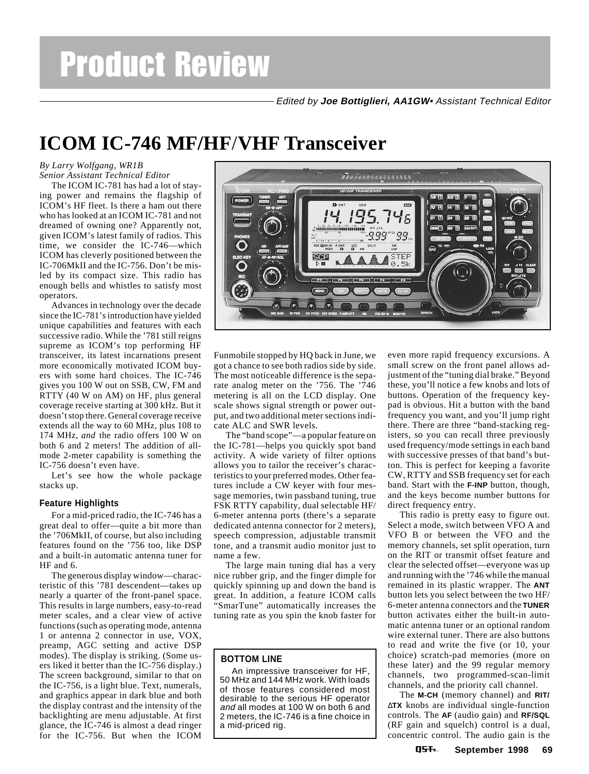Edited by **Joe Bottiglieri, AA1GW**• Assistant Technical Editor

# <span id="page-1-0"></span>**ICOM IC-746 MF/HF**/**VHF Transceiver**

#### *By Larry Wolfgang, WR1B Senior Assistant Technical Editor*

The ICOM IC-781 has had a lot of staying power and remains the flagship of ICOM's HF fleet. Is there a ham out there who has looked at an ICOM IC-781 and not dreamed of owning one? Apparently not, given ICOM's latest family of radios. This time, we consider the IC-746—which ICOM has cleverly positioned between the IC-706MkII and the IC-756. Don't be misled by its compact size. This radio has enough bells and whistles to satisfy most operators.

Advances in technology over the decade since the IC-781's introduction have yielded unique capabilities and features with each successive radio. While the '781 still reigns supreme as ICOM's top performing HF transceiver, its latest incarnations present more economically motivated ICOM buyers with some hard choices. The IC-746 gives you 100 W out on SSB, CW, FM and RTTY (40 W on AM) on HF, plus general coverage receive starting at 300 kHz. But it doesn't stop there. General coverage receive extends all the way to 60 MHz, plus 108 to 174 MHz, *and* the radio offers 100 W on both 6 and 2 meters! The addition of allmode 2-meter capability is something the IC-756 doesn't even have.

Let's see how the whole package stacks up.

#### **Feature Highlights**

For a mid-priced radio, the IC-746 has a great deal to offer—quite a bit more than the '706MkII, of course, but also including features found on the '756 too, like DSP and a built-in automatic antenna tuner for HF and 6.

The generous display window—characteristic of this '781 descendent—takes up nearly a quarter of the front-panel space. This results in large numbers, easy-to-read meter scales, and a clear view of active functions (such as operating mode, antenna 1 or antenna 2 connector in use, VOX, preamp, AGC setting and active DSP modes). The display is striking. (Some users liked it better than the IC-756 display.) The screen background, similar to that on the IC-756, is a light blue. Text, numerals, and graphics appear in dark blue and both the display contrast and the intensity of the backlighting are menu adjustable. At first glance, the IC-746 is almost a dead ringer for the IC-756. But when the ICOM



Funmobile stopped by HQ back in June, we got a chance to see both radios side by side. The most noticeable difference is the separate analog meter on the '756. The '746 metering is all on the LCD display. One scale shows signal strength or power output, and two additional meter sections indicate ALC and SWR levels.

The "band scope"—a popular feature on the IC-781—helps you quickly spot band activity. A wide variety of filter options allows you to tailor the receiver's characteristics to your preferred modes. Other features include a CW keyer with four message memories, twin passband tuning, true FSK RTTY capability, dual selectable HF/ 6-meter antenna ports (there's a separate dedicated antenna connector for 2 meters), speech compression, adjustable transmit tone, and a transmit audio monitor just to name a few.

The large main tuning dial has a very nice rubber grip, and the finger dimple for quickly spinning up and down the band is great. In addition, a feature ICOM calls "SmarTune" automatically increases the tuning rate as you spin the knob faster for

### **BOTTOM LINE**

An impressive transceiver for HF, 50 MHz and 144 MHz work. With loads of those features considered most desirable to the serious HF operator and all modes at 100 W on both 6 and 2 meters, the IC-746 is a fine choice in a mid-priced rig.

even more rapid frequency excursions. A small screw on the front panel allows adjustment of the "tuning dial brake." Beyond these, you'll notice a few knobs and lots of buttons. Operation of the frequency keypad is obvious. Hit a button with the band frequency you want, and you'll jump right there. There are three "band-stacking registers, so you can recall three previously used frequency/mode settings in each band with successive presses of that band's button. This is perfect for keeping a favorite CW, RTTY and SSB frequency set for each band. Start with the **F-INP** button, though, and the keys become number buttons for direct frequency entry.

This radio is pretty easy to figure out. Select a mode, switch between VFO A and VFO B or between the VFO and the memory channels, set split operation, turn on the RIT or transmit offset feature and clear the selected offset—everyone was up and running with the '746 while the manual remained in its plastic wrapper. The **ANT** button lets you select between the two HF/ 6-meter antenna connectors and the **TUNER** button activates either the built-in automatic antenna tuner or an optional random wire external tuner. There are also buttons to read and write the five (or 10, your choice) scratch-pad memories (more on these later) and the 99 regular memory channels, two programmed-scan-limit channels, and the priority call channel.

The **M-CH** (memory channel) and **RIT/** ∆**TX** knobs are individual single-function controls. The **AF** (audio gain) and **RF/SQL** (RF gain and squelch) control is a dual, concentric control. The audio gain is the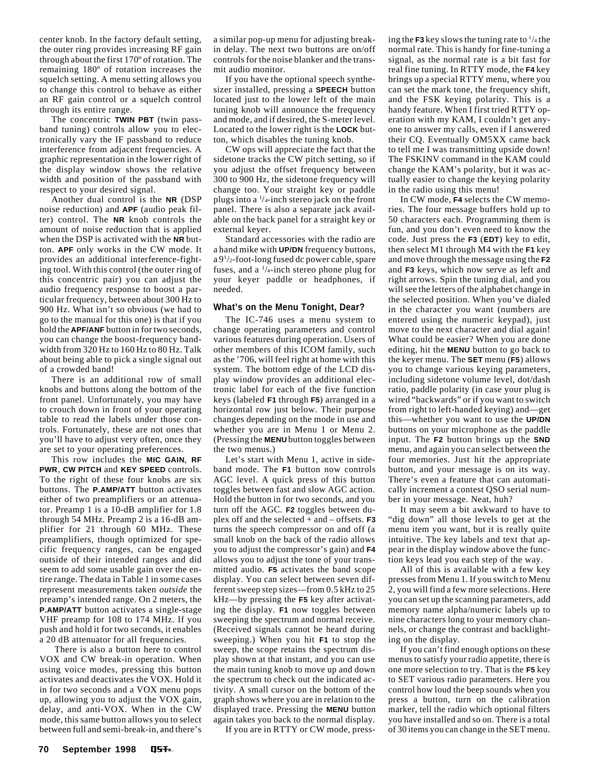center knob. In the factory default setting, the outer ring provides increasing RF gain through about the first 170º of rotation. The remaining 180º of rotation increases the squelch setting. A menu setting allows you to change this control to behave as either an RF gain control or a squelch control through its entire range.

The concentric **TWIN PBT** (twin passband tuning) controls allow you to electronically vary the IF passband to reduce interference from adjacent frequencies. A graphic representation in the lower right of the display window shows the relative width and position of the passband with respect to your desired signal.

Another dual control is the **NR** (DSP noise reduction) and **APF** (audio peak filter) control. The **NR** knob controls the amount of noise reduction that is applied when the DSP is activated with the **NR** button. **APF** only works in the CW mode. It provides an additional interference-fighting tool. With this control (the outer ring of this concentric pair) you can adjust the audio frequency response to boost a particular frequency, between about 300 Hz to 900 Hz. What isn't so obvious (we had to go to the manual for this one) is that if you hold the **APF/ANF** button in for two seconds, you can change the boost-frequency bandwidth from 320 Hz to 160 Hz to 80 Hz. Talk about being able to pick a single signal out of a crowded band!

There is an additional row of small knobs and buttons along the bottom of the front panel. Unfortunately, you may have to crouch down in front of your operating table to read the labels under those controls. Fortunately, these are not ones that you'll have to adjust very often, once they are set to your operating preferences.

This row includes the **MIC GAIN**, **RF PWR**, **CW PITCH** and **KEY SPEED** controls. To the right of these four knobs are six buttons. The **P.AMP/ATT** button activates either of two preamplifiers or an attenuator. Preamp 1 is a 10-dB amplifier for 1.8 through 54 MHz. Preamp 2 is a 16-dB amplifier for 21 through 60 MHz. These preamplifiers, though optimized for specific frequency ranges, can be engaged outside of their intended ranges and did seem to add some usable gain over the entire range. The data in Table 1 in some cases represent measurements taken *outside* the preamp's intended range. On 2 meters, the **P.AMP/ATT** button activates a single-stage VHF preamp for 108 to 174 MHz. If you push and hold it for two seconds, it enables a 20 dB attenuator for all frequencies.

 There is also a button here to control VOX and CW break-in operation. When using voice modes, pressing this button activates and deactivates the VOX. Hold it in for two seconds and a VOX menu pops up, allowing you to adjust the VOX gain, delay, and anti-VOX. When in the CW mode, this same button allows you to select between full and semi-break-in, and there's

a similar pop-up menu for adjusting breakin delay. The next two buttons are on/off controls for the noise blanker and the transmit audio monitor.

If you have the optional speech synthesizer installed, pressing a **SPEECH** button located just to the lower left of the main tuning knob will announce the frequency and mode, and if desired, the S-meter level. Located to the lower right is the **LOCK** button, which disables the tuning knob.

CW ops will appreciate the fact that the sidetone tracks the CW pitch setting, so if you adjust the offset frequency between 300 to 900 Hz, the sidetone frequency will change too. Your straight key or paddle plugs into a 1 /4-inch stereo jack on the front panel. There is also a separate jack available on the back panel for a straight key or external keyer.

Standard accessories with the radio are a hand mike with **UP/DN** frequency buttons, a 91 /2-foot-long fused dc power cable, spare fuses, and a <sup>1</sup>/4-inch stereo phone plug for your keyer paddle or headphones, if needed.

#### **What's on the Menu Tonight, Dear?**

The IC-746 uses a menu system to change operating parameters and control various features during operation. Users of other members of this ICOM family, such as the '706, will feel right at home with this system. The bottom edge of the LCD display window provides an additional electronic label for each of the five function keys (labeled **F1** through **F5**) arranged in a horizontal row just below. Their purpose changes depending on the mode in use and whether you are in Menu 1 or Menu 2. (Pressing the **MENU** button toggles between the two menus.)

Let's start with Menu 1, active in sideband mode. The **F1** button now controls AGC level. A quick press of this button toggles between fast and slow AGC action. Hold the button in for two seconds, and you turn off the AGC. **F2** toggles between duplex off and the selected + and – offsets. **F3** turns the speech compressor on and off (a small knob on the back of the radio allows you to adjust the compressor's gain) and **F4** allows you to adjust the tone of your transmitted audio. **F5** activates the band scope display. You can select between seven different sweep step sizes—from 0.5 kHz to 25 kHz—by pressing the **F5** key after activating the display. **F1** now toggles between sweeping the spectrum and normal receive. (Received signals cannot be heard during sweeping.) When you hit **F1** to stop the sweep, the scope retains the spectrum display shown at that instant, and you can use the main tuning knob to move up and down the spectrum to check out the indicated activity. A small cursor on the bottom of the graph shows where you are in relation to the displayed trace. Pressing the **MENU** button again takes you back to the normal display.

If you are in RTTY or CW mode, press-

ing the  $F3$  key slows the tuning rate to  $\frac{1}{4}$  the normal rate. This is handy for fine-tuning a signal, as the normal rate is a bit fast for real fine tuning. In RTTY mode, the **F4** key brings up a special RTTY menu, where you can set the mark tone, the frequency shift, and the FSK keying polarity. This is a handy feature. When I first tried RTTY operation with my KAM, I couldn't get anyone to answer my calls, even if I answered their CQ. Eventually OM5XX came back to tell me I was transmitting upside down! The FSKINV command in the KAM could change the KAM's polarity, but it was actually easier to change the keying polarity in the radio using this menu!

In CW mode, **F4** selects the CW memories. The four message buffers hold up to 50 characters each. Programming them is fun, and you don't even need to know the code. Just press the **F3** (**EDT**) key to edit, then select M1 through M4 with the **F1** key and move through the message using the **F2** and **F3** keys, which now serve as left and right arrows. Spin the tuning dial, and you will see the letters of the alphabet change in the selected position. When you've dialed in the character you want (numbers are entered using the numeric keypad), just move to the next character and dial again! What could be easier? When you are done editing, hit the **MENU** button to go back to the keyer menu. The **SET** menu (**F5**) allows you to change various keying parameters, including sidetone volume level, dot/dash ratio, paddle polarity (in case your plug is wired "backwards" or if you want to switch from right to left-handed keying) and—get this—whether you want to use the **UP/DN** buttons on your microphone as the paddle input. The **F2** button brings up the **SND** menu, and again you can select between the four memories. Just hit the appropriate button, and your message is on its way. There's even a feature that can automatically increment a contest QSO serial number in your message. Neat, huh?

It may seem a bit awkward to have to "dig down" all those levels to get at the menu item you want, but it is really quite intuitive. The key labels and text that appear in the display window above the function keys lead you each step of the way.

All of this is available with a few key presses from Menu 1. If you switch to Menu 2, you will find a few more selections. Here you can set up the scanning parameters, add memory name alpha/numeric labels up to nine characters long to your memory channels, or change the contrast and backlighting on the display.

If you can't find enough options on these menus to satisfy your radio appetite, there is one more selection to try. That is the **F5** key to SET various radio parameters. Here you control how loud the beep sounds when you press a button, turn on the calibration marker, tell the radio which optional filters you have installed and so on. There is a total of 30 items you can change in the SET menu.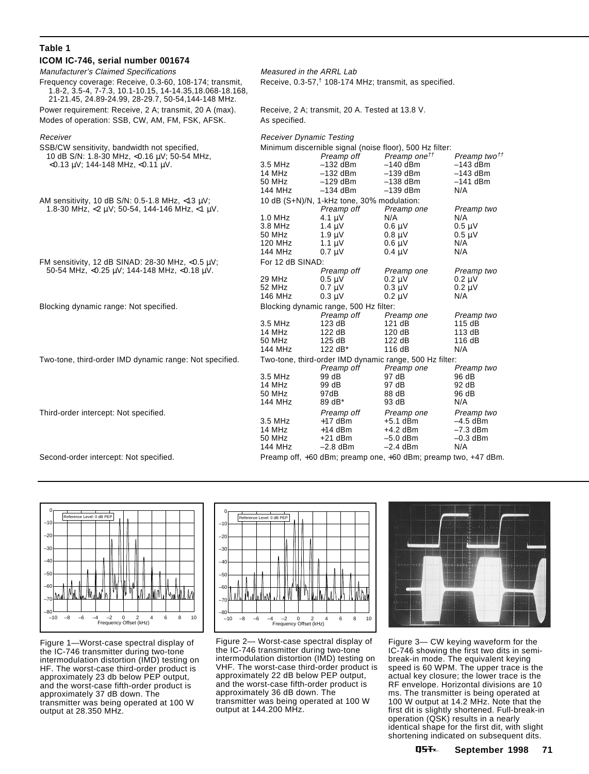| Table 1                                                                                                                                                                     |                                                                    |                                                                                       |                                                                                                                                              |                                                                         |
|-----------------------------------------------------------------------------------------------------------------------------------------------------------------------------|--------------------------------------------------------------------|---------------------------------------------------------------------------------------|----------------------------------------------------------------------------------------------------------------------------------------------|-------------------------------------------------------------------------|
| ICOM IC-746, serial number 001674                                                                                                                                           |                                                                    |                                                                                       |                                                                                                                                              |                                                                         |
| <b>Manufacturer's Claimed Specifications</b>                                                                                                                                | Measured in the ARRL Lab                                           |                                                                                       |                                                                                                                                              |                                                                         |
| Frequency coverage: Receive, 0.3-60, 108-174; transmit,<br>1.8-2, 3.5-4, 7-7.3, 10.1-10.15, 14-14.35, 18.068-18.168,<br>21-21.45, 24.89-24.99, 28-29.7, 50-54, 144-148 MHz. | Receive, 0.3-57, <sup>†</sup> 108-174 MHz; transmit, as specified. |                                                                                       |                                                                                                                                              |                                                                         |
| Power requirement: Receive, 2 A; transmit, 20 A (max).                                                                                                                      | Receive, 2 A; transmit, 20 A. Tested at 13.8 V.                    |                                                                                       |                                                                                                                                              |                                                                         |
| Modes of operation: SSB, CW, AM, FM, FSK, AFSK.                                                                                                                             | As specified.                                                      |                                                                                       |                                                                                                                                              |                                                                         |
| Receiver                                                                                                                                                                    | <b>Receiver Dynamic Testing</b>                                    |                                                                                       |                                                                                                                                              |                                                                         |
| SSB/CW sensitivity, bandwidth not specified,<br>10 dB S/N: 1.8-30 MHz, <0.16 μV; 50-54 MHz,<br>$<$ 0.13 µV; 144-148 MHz, $<$ 0.11 µV.                                       | $3.5$ MHz<br>14 MHz<br>50 MHz<br>144 MHz                           | Preamp off<br>$-132$ dBm<br>$-132$ dBm<br>$-129$ dBm<br>$-134$ dBm                    | Minimum discernible signal (noise floor), 500 Hz filter:<br>Preamp one <sup>tt</sup><br>$-140$ dBm<br>$-139$ dBm<br>$-138$ dBm<br>$-139$ dBm | Preamp two <sup>††</sup><br>$-143$ dBm<br>-143 dBm<br>$-141$ dBm<br>N/A |
| AM sensitivity, 10 dB S/N: 0.5-1.8 MHz, <13 uV;                                                                                                                             | 10 dB (S+N)/N, 1-kHz tone, 30% modulation:                         |                                                                                       |                                                                                                                                              |                                                                         |
| 1.8-30 MHz, $<$ 2 $\mu$ V; 50-54, 144-146 MHz, $<$ 1 $\mu$ V.                                                                                                               | $1.0$ MHz<br>3.8 MHz<br>50 MHz<br>120 MHz<br>144 MHz               | Preamp off<br>4.1 $\mu$ V<br>$1.4 \mu V$<br>$1.9 \mu V$<br>$1.1 \mu V$<br>$0.7 \mu V$ | Preamp one<br>N/A<br>$0.6 \mu V$<br>$0.8 \mu V$<br>$0.6 \mu V$<br>$0.4 \mu V$                                                                | Preamp two<br>N/A<br>$0.5 \mu V$<br>$0.5 \mu V$<br>N/A<br>N/A           |
| FM sensitivity, 12 dB SINAD: 28-30 MHz, < $0.5 \mu$ V;                                                                                                                      | For 12 dB SINAD:                                                   |                                                                                       |                                                                                                                                              |                                                                         |
| 50-54 MHz, <0.25 uV; 144-148 MHz, <0.18 uV.                                                                                                                                 | 29 MHz<br>52 MHz<br>146 MHz                                        | Preamp off<br>$0.5 \text{ }\mu\text{V}$<br>$0.7 \mu V$<br>$0.3 \mu V$                 | Preamp one<br>$0.2 \mu V$<br>$0.3 \mu V$<br>$0.2 \mu V$                                                                                      | Preamp two<br>$0.2 \mu V$<br>$0.2 \mu V$<br>N/A                         |
| Blocking dynamic range: Not specified.                                                                                                                                      | Blocking dynamic range, 500 Hz filter:                             |                                                                                       |                                                                                                                                              |                                                                         |
|                                                                                                                                                                             | 3.5 MHz<br>14 MHz<br>50 MHz<br>144 MHz                             | Preamp off<br>123 dB<br>122 dB<br>125 dB<br>122 dB*                                   | Preamp one<br>121 dB<br>120 dB<br>122 dB<br>116 dB                                                                                           | Preamp two<br>115 dB<br>113 dB<br>116 dB<br>N/A                         |
| Two-tone, third-order IMD dynamic range: Not specified.                                                                                                                     | Two-tone, third-order IMD dynamic range, 500 Hz filter:            |                                                                                       |                                                                                                                                              |                                                                         |
|                                                                                                                                                                             | 3.5 MHz<br>14 MHz<br>50 MHz<br>144 MHz                             | Preamp off<br>99 dB<br>99 dB<br>97dB<br>89 dB*                                        | Preamp one<br>97 dB<br>97 dB<br>88 dB<br>93 dB                                                                                               | Preamp two<br>96 dB<br>92 dB<br>96 dB<br>N/A                            |
| Third-order intercept: Not specified.                                                                                                                                       | 3.5 MHz<br>14 MHz<br>50 MHz<br>144 MHz                             | Preamp off<br>$+17$ dBm<br>$+14$ dBm<br>$+21$ dBm<br>$-2.8$ dBm                       | Preamp one<br>$+5.1$ dBm<br>$+4.2$ dBm<br>$-5.0$ dBm<br>$-2.4$ dBm                                                                           | Preamp two<br>$-4.5$ dBm<br>$-7.3$ dBm<br>$-0.3$ dBm<br>N/A             |
| Second-order intercept: Not specified.                                                                                                                                      | Preamp off, +60 dBm; preamp one, +60 dBm; preamp two, +47 dBm.     |                                                                                       |                                                                                                                                              |                                                                         |



Figure 1—Worst-case spectral display of the IC-746 transmitter during two-tone intermodulation distortion (IMD) testing on HF. The worst-case third-order product is approximately 23 db below PEP output, and the worst-case fifth-order product is approximately 37 dB down. The transmitter was being operated at 100 W output at 28.350 MHz.



Figure 2— Worst-case spectral display of the IC-746 transmitter during two-tone intermodulation distortion (IMD) testing on VHF. The worst-case third-order product is approximately 22 dB below PEP output, and the worst-case fifth-order product is approximately 36 dB down. The transmitter was being operated at 100 W output at 144.200 MHz.



Figure 3— CW keying waveform for the IC-746 showing the first two dits in semibreak-in mode. The equivalent keying speed is 60 WPM. The upper trace is the actual key closure; the lower trace is the RF envelope. Horizontal divisions are 10 ms. The transmitter is being operated at 100 W output at 14.2 MHz. Note that the first dit is slightly shortened. Full-break-in operation (QSK) results in a nearly identical shape for the first dit, with slight shortening indicated on subsequent dits.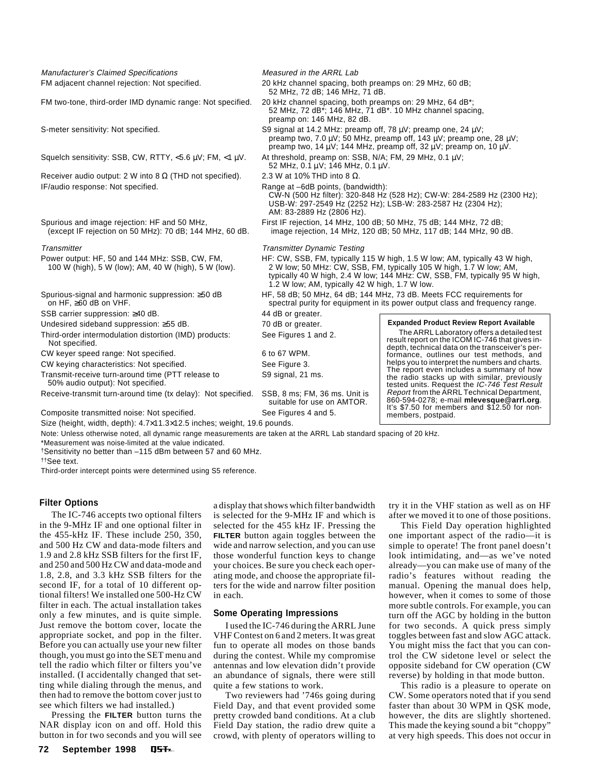Manufacturer's Claimed Specifications Measured in the ARRL Lab FM adjacent channel rejection: Not specified. 20 kHz channel spacing, both preamps on: 29 MHz, 60 dB;

FM two-tone, third-order IMD dynamic range: Not specified. 20 kHz channel spacing, both preamps on: 29 MHz, 64 dB\*;

S-meter sensitivity: Not specified. S9 signal at 14.2 MHz: preamp off, 78 µV; preamp one, 24 µV;

Squelch sensitivity: SSB, CW, RTTY, <5.6 µV; FM, <1 µV. At threshold, preamp on: SSB, N/A; FM, 29 MHz, 0.1 µV;

Receiver audio output: 2 W into 8  $\Omega$  (THD not specified). 2.3 W at 10% THD into 8  $\Omega$ . IF/audio response: Not specified. The state of the Range at –6dB points, (bandwidth):

SSB carrier suppression: ≥40 dB. 44 dB or greater.

Undesired sideband suppression: ≥55 dB. 70 dB or greater.

Third-order intermodulation distortion (IMD) products: See Figures 1 and 2. Not specified.

CW keyer speed range: Not specified. 6 to 67 WPM.

CW keying characteristics: Not specified. See Figure 3.

Transmit-receive turn-around time (PTT release to S9 signal, 21 ms. 50% audio output): Not specified.

Receive-transmit turn-around time (tx delay): Not specified. SSB, 8 ms; FM, 36 ms. Unit is

Composite transmitted noise: Not specified. See Figures 4 and 5.

Size (height, width, depth): 4.7×11.3×12.5 inches; weight, 19.6 pounds.

Note: Unless otherwise noted, all dynamic range measurements are taken at the ARRL Lab standard spacing of 20 kHz.

\*Measurement was noise-limited at the value indicated.

†Sensitivity no better than –115 dBm between 57 and 60 MHz.

††See text.

Third-order intercept points were determined using S5 reference.

#### **Filter Options**

The IC-746 accepts two optional filters in the 9-MHz IF and one optional filter in the 455-kHz IF. These include 250, 350, and 500 Hz CW and data-mode filters and 1.9 and 2.8 kHz SSB filters for the first IF, and 250 and 500 Hz CW and data-mode and 1.8, 2.8, and 3.3 kHz SSB filters for the second IF, for a total of 10 different optional filters! We installed one 500-Hz CW filter in each. The actual installation takes only a few minutes, and is quite simple. Just remove the bottom cover, locate the appropriate socket, and pop in the filter. Before you can actually use your new filter though, you must go into the SET menu and tell the radio which filter or filters you've installed. (I accidentally changed that setting while dialing through the menus, and then had to remove the bottom cover just to see which filters we had installed.)

Pressing the **FILTER** button turns the NAR display icon on and off. Hold this button in for two seconds and you will see

05<del>T</del>

**72 September 1998**

a display that shows which filter bandwidth is selected for the 9-MHz IF and which is selected for the 455 kHz IF. Pressing the **FILTER** button again toggles between the wide and narrow selection, and you can use those wonderful function keys to change your choices. Be sure you check each operating mode, and choose the appropriate filters for the wide and narrow filter position in each.

#### **Some Operating Impressions**

I used the IC-746 during the ARRL June VHF Contest on 6 and 2 meters. It was great fun to operate all modes on those bands during the contest. While my compromise antennas and low elevation didn't provide an abundance of signals, there were still quite a few stations to work.

Two reviewers had '746s going during Field Day, and that event provided some pretty crowded band conditions. At a club Field Day station, the radio drew quite a crowd, with plenty of operators willing to try it in the VHF station as well as on HF after we moved it to one of those positions.

This Field Day operation highlighted one important aspect of the radio—it is simple to operate! The front panel doesn't look intimidating, and—as we've noted already—you can make use of many of the radio's features without reading the manual. Opening the manual does help, however, when it comes to some of those more subtle controls. For example, you can turn off the AGC by holding in the button for two seconds. A quick press simply toggles between fast and slow AGC attack. You might miss the fact that you can control the CW sidetone level or select the opposite sideband for CW operation (CW reverse) by holding in that mode button.

This radio is a pleasure to operate on CW. Some operators noted that if you send faster than about 30 WPM in QSK mode, however, the dits are slightly shortened. This made the keying sound a bit "choppy" at very high speeds. This does not occur in

 52 MHz, 0.1 µV; 146 MHz, 0.1 µV. CW-N (500 Hz filter): 320-848 Hz (528 Hz); CW-W: 284-2589 Hz (2300 Hz); USB-W: 297-2549 Hz (2252 Hz); LSB-W: 283-2587 Hz (2304 Hz); AM: 83-2889 Hz (2806 Hz). Spurious and image rejection: HF and 50 MHz, First IF rejection, 14 MHz, 100 dB; 50 MHz, 75 dB; 144 MHz, 72 dB; (except IF rejection on 50 MHz): 70 dB; 144 MHz, 60 dB. image rejection, 14 MHz, 120 dB; 50 MHz, 117 dB; 144 MHz, 90 dB. Transmitter Transmitter Transmitter Dynamic Testing

52 MHz, 72 dB\*; 146 MHz, 71 dB\*. 10 MHz channel spacing,

 preamp two, 7.0 µV; 50 MHz, preamp off, 143 µV; preamp one, 28 µV; preamp two, 14  $\mu$ V; 144 MHz, preamp off, 32  $\mu$ V; preamp on, 10  $\mu$ V.

52 MHz, 72 dB; 146 MHz, 71 dB.

preamp on: 146 MHz, 82 dB.

- Power output: HF, 50 and 144 MHz: SSB, CW, FM, HF: CW, SSB, FM, typically 115 W high, 1.5 W low; AM, typically 43 W high, 100 W (high), 5 W (low); AM, 40 W (high), 5 W (low). 2 W low; 50 MHz: CW, SSB, FM, typically 105 W high, 1.7 W low; AM, typically 40 W high, 2.4 W low; 144 MHz: CW, SSB, FM, typically 95 W high, 1.2 W low; AM, typically 42 W high, 1.7 W low.
- Spurious-signal and harmonic suppression: ≥50 dB HF, 58 dB; 50 MHz, 64 dB; 144 MHz, 73 dB. Meets FCC requirements for on HF, ≥60 dB on VHF. spectral purity for equipment in its power output class and frequency range.

suitable for use on AMTOR.

#### **Expanded Product Review Report Available** The ARRL Laboratory offers a detailed test

result report on the ICOM IC-746 that gives indepth, technical data on the transceiver's performance, outlines our test methods, and helps you to interpret the numbers and charts. The report even includes a summary of how the radio stacks up with similar, previously<br>tested units. Request the *IC-746 Test Result*<br>*Report* from the ARRLTechnical Department, 860-594-0278; e-mail **mlevesque@arrl.org**. It's \$7.50 for members and \$12.50 for nonmembers, postpaid.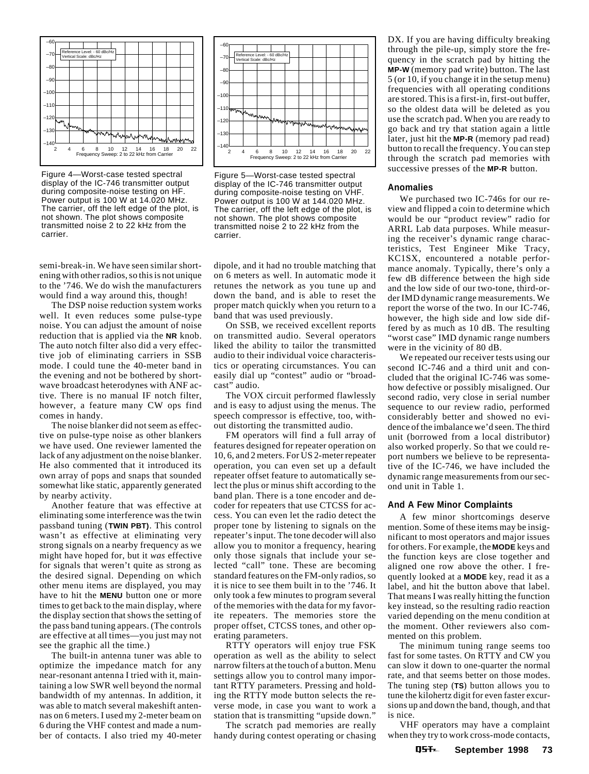

Figure 4—Worst-case tested spectral display of the IC-746 transmitter output during composite-noise testing on HF. Power output is 100 W at 14.020 MHz. The carrier, off the left edge of the plot, is not shown. The plot shows composite transmitted noise 2 to 22 kHz from the carrier.

semi-break-in. We have seen similar shortening with other radios, so this is not unique to the '746. We do wish the manufacturers would find a way around this, though!

The DSP noise reduction system works well. It even reduces some pulse-type noise. You can adjust the amount of noise reduction that is applied via the **NR** knob. The auto notch filter also did a very effective job of eliminating carriers in SSB mode. I could tune the 40-meter band in the evening and not be bothered by shortwave broadcast heterodynes with ANF active. There is no manual IF notch filter, however, a feature many CW ops find comes in handy.

The noise blanker did not seem as effective on pulse-type noise as other blankers we have used. One reviewer lamented the lack of any adjustment on the noise blanker. He also commented that it introduced its own array of pops and snaps that sounded somewhat like static, apparently generated by nearby activity.

Another feature that was effective at eliminating some interference was the twin passband tuning (**TWIN PBT)**. This control wasn't as effective at eliminating very strong signals on a nearby frequency as we might have hoped for, but it *was* effective for signals that weren't quite as strong as the desired signal. Depending on which other menu items are displayed, you may have to hit the **MENU** button one or more times to get back to the main display, where the display section that shows the setting of the pass band tuning appears. (The controls are effective at all times—you just may not see the graphic all the time.)

The built-in antenna tuner was able to optimize the impedance match for any near-resonant antenna I tried with it, maintaining a low SWR well beyond the normal bandwidth of my antennas. In addition, it was able to match several makeshift antennas on 6 meters. I used my 2-meter beam on 6 during the VHF contest and made a number of contacts. I also tried my 40-meter



Figure 5—Worst-case tested spectral display of the IC-746 transmitter output during composite-noise testing on VHF. Power output is 100 W at 144.020 MHz. The carrier, off the left edge of the plot, is not shown. The plot shows composite transmitted noise 2 to 22 kHz from the carrier.

dipole, and it had no trouble matching that on 6 meters as well. In automatic mode it retunes the network as you tune up and down the band, and is able to reset the proper match quickly when you return to a band that was used previously.

On SSB, we received excellent reports on transmitted audio. Several operators liked the ability to tailor the transmitted audio to their individual voice characteristics or operating circumstances. You can easily dial up "contest" audio or "broadcast" audio.

The VOX circuit performed flawlessly and is easy to adjust using the menus. The speech compressor is effective, too, without distorting the transmitted audio.

FM operators will find a full array of features designed for repeater operation on 10, 6, and 2 meters. For US 2-meter repeater operation, you can even set up a default repeater offset feature to automatically select the plus or minus shift according to the band plan. There is a tone encoder and decoder for repeaters that use CTCSS for access. You can even let the radio detect the proper tone by listening to signals on the repeater's input. The tone decoder will also allow you to monitor a frequency, hearing only those signals that include your selected "call" tone. These are becoming standard features on the FM-only radios, so it is nice to see them built in to the '746. It only took a few minutes to program several of the memories with the data for my favorite repeaters. The memories store the proper offset, CTCSS tones, and other operating parameters.

RTTY operators will enjoy true FSK operation as well as the ability to select narrow filters at the touch of a button. Menu settings allow you to control many important RTTY parameters. Pressing and holding the RTTY mode button selects the reverse mode, in case you want to work a station that is transmitting "upside down."

The scratch pad memories are really handy during contest operating or chasing DX. If you are having difficulty breaking through the pile-up, simply store the frequency in the scratch pad by hitting the **MP-W** (memory pad write) button. The last 5 (or 10, if you change it in the setup menu) frequencies with all operating conditions are stored. This is a first-in, first-out buffer, so the oldest data will be deleted as you use the scratch pad. When you are ready to go back and try that station again a little later, just hit the **MP-R** (memory pad read) button to recall the frequency. You can step through the scratch pad memories with successive presses of the **MP-R** button.

#### **Anomalies**

We purchased two IC-746s for our review and flipped a coin to determine which would be our "product review" radio for ARRL Lab data purposes. While measuring the receiver's dynamic range characteristics, Test Engineer Mike Tracy, KC1SX, encountered a notable performance anomaly. Typically, there's only a few dB difference between the high side and the low side of our two-tone, third-order IMD dynamic range measurements. We report the worse of the two. In our IC-746, however, the high side and low side differed by as much as 10 dB. The resulting "worst case" IMD dynamic range numbers were in the vicinity of 80 dB.

We repeated our receiver tests using our second IC-746 and a third unit and concluded that the original IC-746 was somehow defective or possibly misaligned. Our second radio, very close in serial number sequence to our review radio, performed considerably better and showed no evidence of the imbalance we'd seen. The third unit (borrowed from a local distributor) also worked properly. So that we could report numbers we believe to be representative of the IC-746, we have included the dynamic range measurements from our second unit in Table 1.

#### **And A Few Minor Complaints**

A few minor shortcomings deserve mention. Some of these items may be insignificant to most operators and major issues for others. For example, the **MODE** keys and the function keys are close together and aligned one row above the other. I frequently looked at a **MODE** key, read it as a label, and hit the button above that label. That means I was really hitting the function key instead, so the resulting radio reaction varied depending on the menu condition at the moment. Other reviewers also commented on this problem.

The minimum tuning range seems too fast for some tastes. On RTTY and CW you can slow it down to one-quarter the normal rate, and that seems better on those modes. The tuning step (**TS**) button allows you to tune the kilohertz digit for even faster excursions up and down the band, though, and that is nice.

VHF operators may have a complaint when they try to work cross-mode contacts,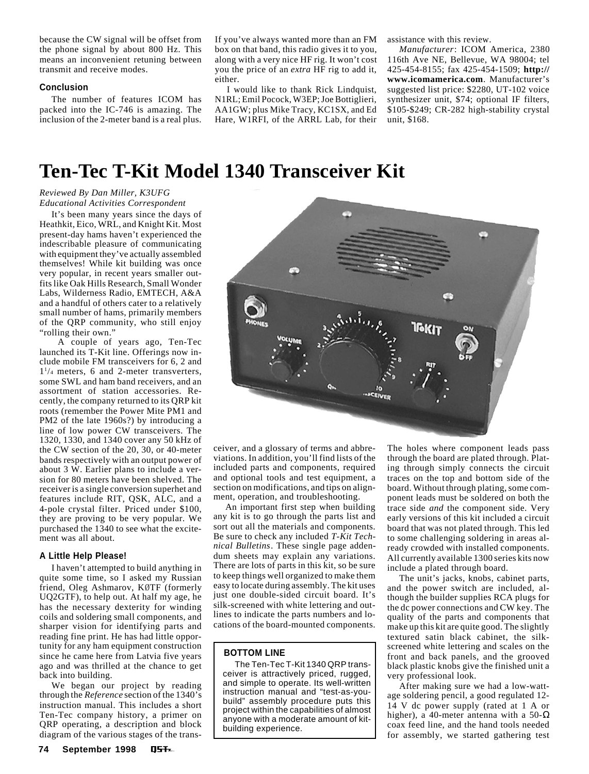<span id="page-6-0"></span>because the CW signal will be offset from the phone signal by about 800 Hz. This means an inconvenient retuning between transmit and receive modes.

#### **Conclusion**

The number of features ICOM has packed into the IC-746 is amazing. The inclusion of the 2-meter band is a real plus. If you've always wanted more than an FM box on that band, this radio gives it to you, along with a very nice HF rig. It won't cost you the price of an *extra* HF rig to add it, either.

I would like to thank Rick Lindquist, N1RL; Emil Pocock, W3EP; Joe Bottiglieri, AA1GW; plus Mike Tracy, KC1SX, and Ed Hare, W1RFI, of the ARRL Lab, for their assistance with this review.

*Manufacturer*: ICOM America, 2380 116th Ave NE, Bellevue, WA 98004; tel 425-454-8155; fax 425-454-1509; **http:// www.icomamerica.com**. Manufacturer's suggested list price: \$2280, UT-102 voice synthesizer unit, \$74; optional IF filters, \$105-\$249; CR-282 high-stability crystal unit, \$168.

# **Ten-Tec T-Kit Model 1340 Transceiver Kit**

#### *Reviewed By Dan Miller, K3UFG Educational Activities Correspondent*

It's been many years since the days of Heathkit, Eico, WRL, and Knight Kit. Most present-day hams haven't experienced the indescribable pleasure of communicating with equipment they've actually assembled themselves! While kit building was once very popular, in recent years smaller outfits like Oak Hills Research, Small Wonder Labs, Wilderness Radio, EMTECH, A&A and a handful of others cater to a relatively small number of hams, primarily members of the QRP community, who still enjoy "rolling their own."

 A couple of years ago, Ten-Tec launched its T-Kit line. Offerings now include mobile FM transceivers for 6, 2 and 11 /4 meters, 6 and 2-meter transverters, some SWL and ham band receivers, and an assortment of station accessories. Recently, the company returned to its QRP kit roots (remember the Power Mite PM1 and PM2 of the late 1960s?) by introducing a line of low power CW transceivers. The 1320, 1330, and 1340 cover any 50 kHz of the CW section of the 20, 30, or 40-meter bands respectively with an output power of about 3 W. Earlier plans to include a version for 80 meters have been shelved. The receiver is a single conversion superhet and features include RIT, QSK, ALC, and a 4-pole crystal filter. Priced under \$100, they are proving to be very popular. We purchased the 1340 to see what the excitement was all about.

#### **A Little Help Please!**

I haven't attempted to build anything in quite some time, so I asked my Russian friend, Oleg Ashmarov, KØTF (formerly UQ2GTF), to help out. At half my age, he has the necessary dexterity for winding coils and soldering small components, and sharper vision for identifying parts and reading fine print. He has had little opportunity for any ham equipment construction since he came here from Latvia five years ago and was thrilled at the chance to get back into building.

We began our project by reading through the *Reference* section of the 1340's instruction manual. This includes a short Ten-Tec company history, a primer on QRP operating, a description and block diagram of the various stages of the trans-



ceiver, and a glossary of terms and abbreviations. In addition, you'll find lists of the included parts and components, required and optional tools and test equipment, a section on modifications, and tips on alignment, operation, and troubleshooting.

An important first step when building any kit is to go through the parts list and sort out all the materials and components. Be sure to check any included *T-Kit Technical Bulletins*. These single page addendum sheets may explain any variations. There are lots of parts in this kit, so be sure to keep things well organized to make them easy to locate during assembly. The kit uses just one double-sided circuit board. It's silk-screened with white lettering and outlines to indicate the parts numbers and locations of the board-mounted components.

#### **BOTTOM LINE**

The Ten-Tec T-Kit 1340 QRP transceiver is attractively priced, rugged, and simple to operate. Its well-written instruction manual and "test-as-youbuild" assembly procedure puts this project within the capabilities of almost anyone with a moderate amount of kitbuilding experience.

The holes where component leads pass through the board are plated through. Plating through simply connects the circuit traces on the top and bottom side of the board. Without through plating, some component leads must be soldered on both the trace side *and* the component side. Very early versions of this kit included a circuit board that was not plated through. This led to some challenging soldering in areas already crowded with installed components. All currently available 1300 series kits now include a plated through board.

The unit's jacks, knobs, cabinet parts, and the power switch are included, although the builder supplies RCA plugs for the dc power connections and CW key. The quality of the parts and components that make up this kit are quite good. The slightly textured satin black cabinet, the silkscreened white lettering and scales on the front and back panels, and the grooved black plastic knobs give the finished unit a very professional look.

After making sure we had a low-wattage soldering pencil, a good regulated 12- 14 V dc power supply (rated at 1 A or higher), a 40-meter antenna with a 50- $\Omega$ coax feed line, and the hand tools needed for assembly, we started gathering test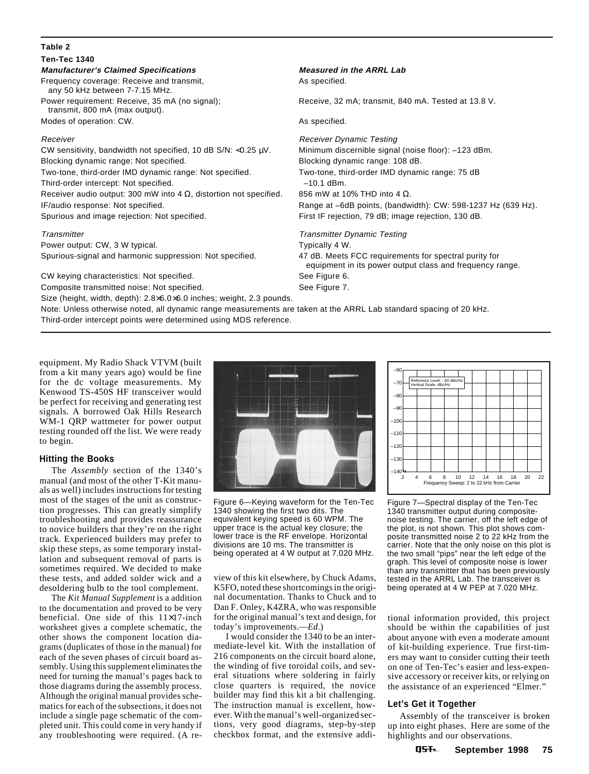## **Table 2**

## **Ten-Tec 1340**

**Manufacturer's Claimed Specifications Measured in the ARRL Lab** Frequency coverage: Receive and transmit, The mass of the Separate As specified.

 any 50 kHz between 7-7.15 MHz. transmit, 800 mA (max output).

Modes of operation: CW. As specified.

CW sensitivity, bandwidth not specified, 10 dB S/N: <0.25 µV. Minimum discernible signal (noise floor): –123 dBm. Blocking dynamic range: Not specified. Blocking dynamic range: 108 dB. Two-tone, third-order IMD dynamic range: Not specified. Two-tone, third-order IMD dynamic range: 75 dB Third-order intercept: Not specified.  $-10.1$  dBm. Receiver audio output: 300 mW into 4  $\Omega$ , distortion not specified. 856 mW at 10% THD into 4  $\Omega$ . IF/audio response: Not specified. Range at –6dB points, (bandwidth): CW: 598-1237 Hz (639 Hz). Spurious and image rejection: Not specified. First IF rejection, 79 dB; image rejection, 130 dB.

Power output: CW, 3 W typical. Typically 4 W. Spurious-signal and harmonic suppression: Not specified. 47 dB. Meets FCC requirements for spectral purity for

CW keying characteristics: Not specified. See Figure 6.

Composite transmitted noise: Not specified. See Figure 7.

Size (height, width, depth): 2.8×6.0×6.0 inches; weight, 2.3 pounds.

Note: Unless otherwise noted, all dynamic range measurements are taken at the ARRL Lab standard spacing of 20 kHz. Third-order intercept points were determined using MDS reference.

Power requirement: Receive, 35 mA (no signal); Receive, 32 mA; transmit, 840 mA. Tested at 13.8 V.

Receiver **Receiver Receiver Receiver** Dynamic Testing

Transmitter Transmitter Dynamic Testing equipment in its power output class and frequency range.

equipment. My Radio Shack VTVM (built from a kit many years ago) would be fine for the dc voltage measurements. My Kenwood TS-450S HF transceiver would be perfect for receiving and generating test signals. A borrowed Oak Hills Research WM-1 QRP wattmeter for power output testing rounded off the list. We were ready to begin.

### **Hitting the Books**

The *Assembly* section of the 1340's manual (and most of the other T-Kit manuals as well) includes instructions for testing most of the stages of the unit as construction progresses. This can greatly simplify troubleshooting and provides reassurance to novice builders that they're on the right track. Experienced builders may prefer to skip these steps, as some temporary installation and subsequent removal of parts is sometimes required. We decided to make these tests, and added solder wick and a desoldering bulb to the tool complement.

The *Kit Manual Supplement* is a addition to the documentation and proved to be very beneficial. One side of this 11×17-inch worksheet gives a complete schematic, the other shows the component location diagrams (duplicates of those in the manual) for each of the seven phases of circuit board assembly. Using this supplement eliminates the need for turning the manual's pages back to those diagrams during the assembly process. Although the original manual provides schematics for each of the subsections, it does not include a single page schematic of the completed unit. This could come in very handy if any troubleshooting were required. (A re-



Figure 6—Keying waveform for the Ten-Tec 1340 showing the first two dits. The equivalent keying speed is 60 WPM. The upper trace is the actual key closure; the lower trace is the RF envelope. Horizontal divisions are 10 ms. The transmitter is being operated at 4 W output at 7.020 MHz.

view of this kit elsewhere, by Chuck Adams, K5FO, noted these shortcomings in the original documentation. Thanks to Chuck and to Dan F. Onley, K4ZRA, who was responsible for the original manual's text and design, for today's improvements.—*Ed*.)

I would consider the 1340 to be an intermediate-level kit. With the installation of 216 components on the circuit board alone, the winding of five toroidal coils, and several situations where soldering in fairly close quarters is required, the novice builder may find this kit a bit challenging. The instruction manual is excellent, however. With the manual's well-organized sections, very good diagrams, step-by-step checkbox format, and the extensive addi-



Figure 7—Spectral display of the Ten-Tec 1340 transmitter output during compositenoise testing. The carrier, off the left edge of the plot, is not shown. This plot shows composite transmitted noise 2 to 22 kHz from the carrier. Note that the only noise on this plot is the two small "pips" near the left edge of the graph. This level of composite noise is lower than any transmitter that has been previously tested in the ARRL Lab. The transceiver is being operated at 4 W PEP at 7.020 MHz.

tional information provided, this project should be within the capabilities of just about anyone with even a moderate amount of kit-building experience. True first-timers may want to consider cutting their teeth on one of Ten-Tec's easier and less-expensive accessory or receiver kits, or relying on the assistance of an experienced "Elmer."

### **Let's Get it Together**

Assembly of the transceiver is broken up into eight phases. Here are some of the highlights and our observations.